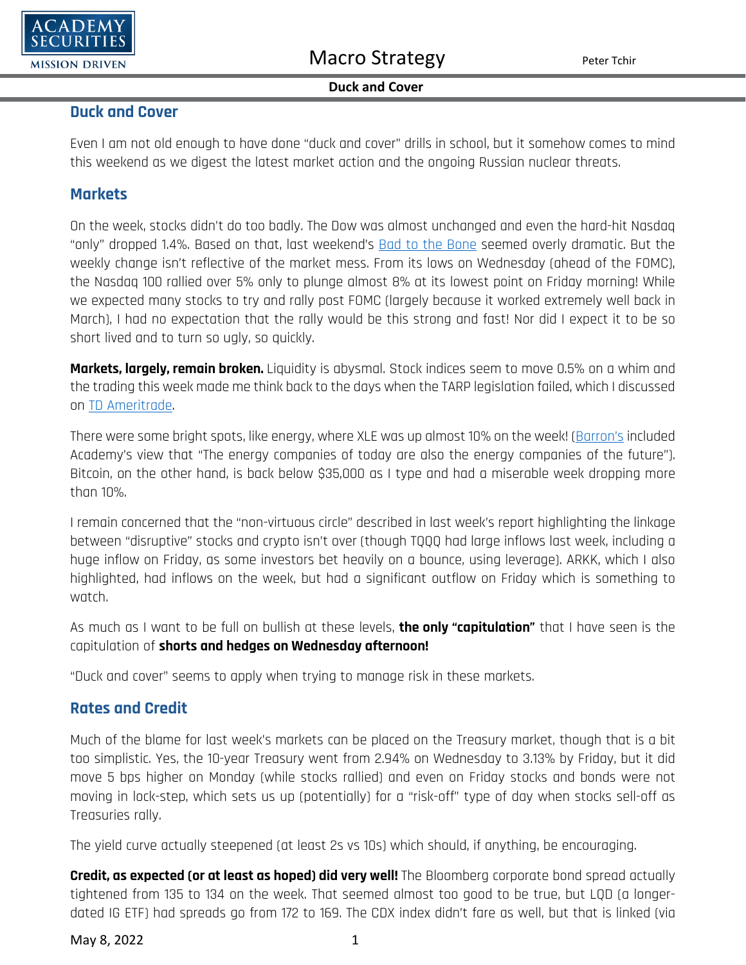

#### **Duck and Cover**

### **Duck and Cover**

Even I am not old enough to have done "duck and cover" drills in school, but it somehow comes to mind this weekend as we digest the latest market action and the ongoing Russian nuclear threats.

### **Markets**

On the week, stocks didn't do too badly. The Dow was almost unchanged and even the hard-hit Nasdaq "only" dropped 1.4%. Based on that, last weekend's [Bad to the Bone](https://www.academysecurities.com/wordpress/wp-content/uploads/2022/04/Bad-to-the-Bone.pdf) seemed overly dramatic. But the weekly change isn't reflective of the market mess. From its lows on Wednesday (ahead of the FOMC), the Nasdaq 100 rallied over 5% only to plunge almost 8% at its lowest point on Friday morning! While we expected many stocks to try and rally post FOMC (largely because it worked extremely well back in March), I had no expectation that the rally would be this strong and fast! Nor did I expect it to be so short lived and to turn so ugly, so quickly.

**Markets, largely, remain broken.** Liquidity is abysmal. Stock indices seem to move 0.5% on a whim and the trading this week made me think back to the days when the TARP legislation failed, which I discussed on [TD Ameritrade.](https://twitter.com/i/broadcasts/1OwxWzWAgNQJQ) 

There were some bright spots, like energy, where XLE was up almost 10% on the week! [\(Barron's](https://www.barrons.com/articles/these-oil-and-gas-companies-could-benefit-from-the-push-toward-sustainable-energy-51651820400?mod=Searchresults) included Academy's view that "The energy companies of today are also the energy companies of the future"). Bitcoin, on the other hand, is back below \$35,000 as I type and had a miserable week dropping more than 10%.

I remain concerned that the "non-virtuous circle" described in last week's report highlighting the linkage between "disruptive" stocks and crypto isn't over (though TQQQ had large inflows last week, including a huge inflow on Friday, as some investors bet heavily on a bounce, using leverage). ARKK, which I also highlighted, had inflows on the week, but had a significant outflow on Friday which is something to watch.

As much as I want to be full on bullish at these levels, **the only "capitulation"** that I have seen is the capitulation of **shorts and hedges on Wednesday afternoon!**

"Duck and cover" seems to apply when trying to manage risk in these markets.

## **Rates and Credit**

Much of the blame for last week's markets can be placed on the Treasury market, though that is a bit too simplistic. Yes, the 10-year Treasury went from 2.94% on Wednesday to 3.13% by Friday, but it did move 5 bps higher on Monday (while stocks rallied) and even on Friday stocks and bonds were not moving in lock-step, which sets us up (potentially) for a "risk-off" type of day when stocks sell-off as Treasuries rally.

The yield curve actually steepened (at least 2s vs 10s) which should, if anything, be encouraging.

**Credit, as expected (or at least as hoped) did very well!** The Bloomberg corporate bond spread actually tightened from 135 to 134 on the week. That seemed almost too good to be true, but LQD (a longerdated IG ETF) had spreads go from 172 to 169. The CDX index didn't fare as well, but that is linked (via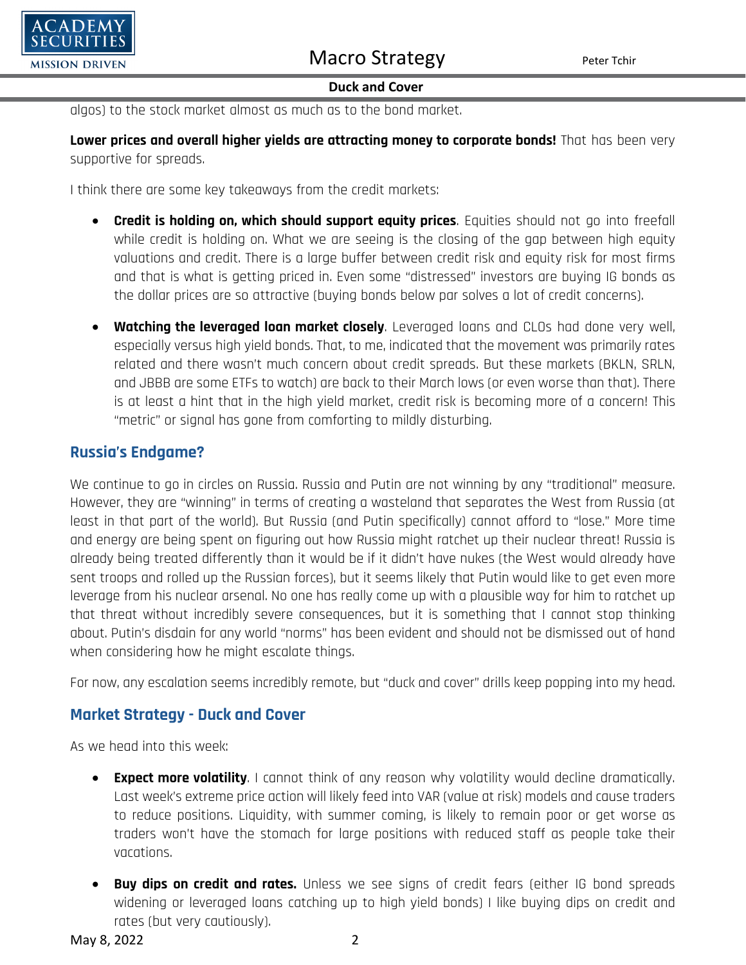

### **Duck and Cover**

algos) to the stock market almost as much as to the bond market.

**Lower prices and overall higher yields are attracting money to corporate bonds!** That has been very supportive for spreads.

I think there are some key takeaways from the credit markets:

- **Credit is holding on, which should support equity prices**. Equities should not go into freefall while credit is holding on. What we are seeing is the closing of the gap between high equity valuations and credit. There is a large buffer between credit risk and equity risk for most firms and that is what is getting priced in. Even some "distressed" investors are buying IG bonds as the dollar prices are so attractive (buying bonds below par solves a lot of credit concerns).
- **Watching the leveraged loan market closely**. Leveraged loans and CLOs had done very well, especially versus high yield bonds. That, to me, indicated that the movement was primarily rates related and there wasn't much concern about credit spreads. But these markets (BKLN, SRLN, and JBBB are some ETFs to watch) are back to their March lows (or even worse than that). There is at least a hint that in the high yield market, credit risk is becoming more of a concern! This "metric" or signal has gone from comforting to mildly disturbing.

## **Russia's Endgame?**

We continue to go in circles on Russia. Russia and Putin are not winning by any "traditional" measure. However, they are "winning" in terms of creating a wasteland that separates the West from Russia (at least in that part of the world). But Russia (and Putin specifically) cannot afford to "lose." More time and energy are being spent on figuring out how Russia might ratchet up their nuclear threat! Russia is already being treated differently than it would be if it didn't have nukes (the West would already have sent troops and rolled up the Russian forces), but it seems likely that Putin would like to get even more leverage from his nuclear arsenal. No one has really come up with a plausible way for him to ratchet up that threat without incredibly severe consequences, but it is something that I cannot stop thinking about. Putin's disdain for any world "norms" has been evident and should not be dismissed out of hand when considering how he might escalate things.

For now, any escalation seems incredibly remote, but "duck and cover" drills keep popping into my head.

## **Market Strategy - Duck and Cover**

As we head into this week:

- **Expect more volatility**. I cannot think of any reason why volatility would decline dramatically. Last week's extreme price action will likely feed into VAR (value at risk) models and cause traders to reduce positions. Liquidity, with summer coming, is likely to remain poor or get worse as traders won't have the stomach for large positions with reduced staff as people take their vacations.
- **Buy dips on credit and rates.** Unless we see signs of credit fears (either IG bond spreads widening or leveraged loans catching up to high yield bonds) I like buying dips on credit and rates (but very cautiously).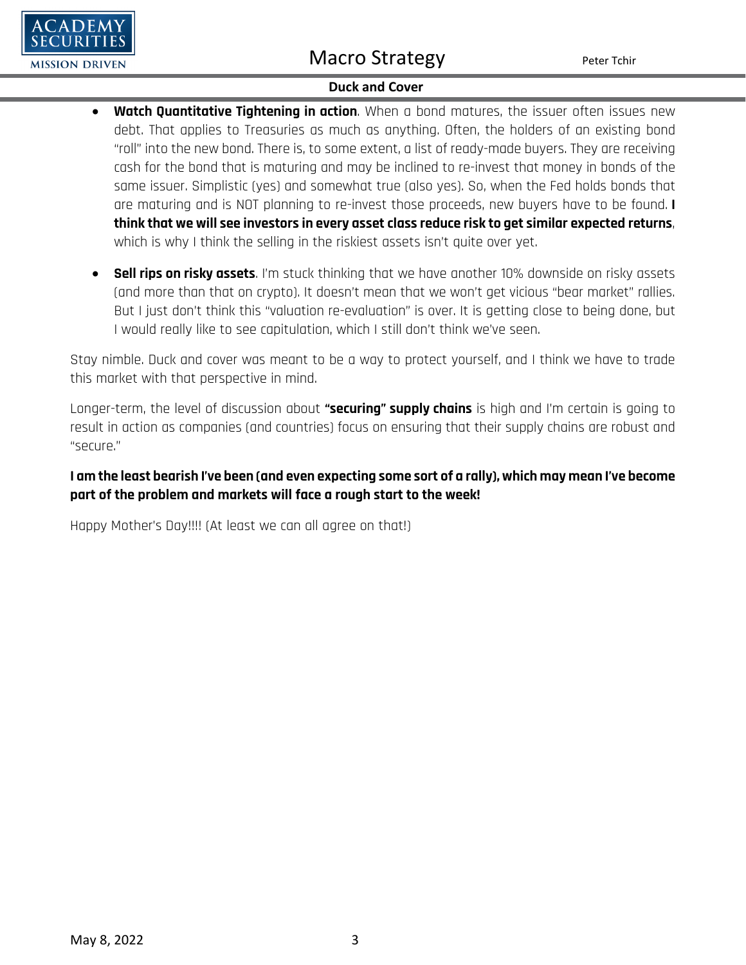# Macro Strategy Peter Tchir



### **Duck and Cover**

- **Watch Quantitative Tightening in action**. When a bond matures, the issuer often issues new debt. That applies to Treasuries as much as anything. Often, the holders of an existing bond "roll" into the new bond. There is, to some extent, a list of ready-made buyers. They are receiving cash for the bond that is maturing and may be inclined to re-invest that money in bonds of the same issuer. Simplistic (yes) and somewhat true (also yes). So, when the Fed holds bonds that are maturing and is NOT planning to re-invest those proceeds, new buyers have to be found. **I think that we will see investors in every asset class reduce risk to get similar expected returns**, which is why I think the selling in the riskiest assets isn't quite over yet.
- **Sell rips on risky assets**. I'm stuck thinking that we have another 10% downside on risky assets (and more than that on crypto). It doesn't mean that we won't get vicious "bear market" rallies. But I just don't think this "valuation re-evaluation" is over. It is getting close to being done, but I would really like to see capitulation, which I still don't think we've seen.

Stay nimble. Duck and cover was meant to be a way to protect yourself, and I think we have to trade this market with that perspective in mind.

Longer-term, the level of discussion about **"securing" supply chains** is high and I'm certain is going to result in action as companies (and countries) focus on ensuring that their supply chains are robust and "secure."

## **I am the least bearish I've been (and even expecting some sort of a rally), which may mean I've become part of the problem and markets will face a rough start to the week!**

Happy Mother's Day!!!! (At least we can all agree on that!)